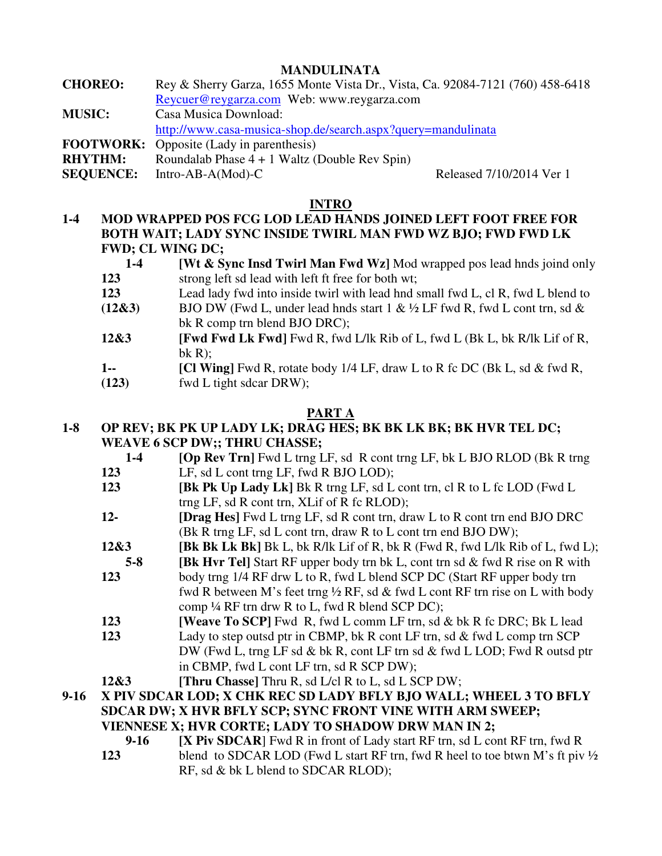# **MANDULINATA**

**CHOREO:** Rey & Sherry Garza, 1655 Monte Vista Dr., Vista, Ca. 92084-7121 (760) 458-6418 Reycuer@reygarza.com Web: www.reygarza.com **MUSIC:** Casa Musica Download: http://www.casa-musica-shop.de/search.aspx?query=mandulinata **FOOTWORK:** Opposite (Lady in parenthesis)

**RHYTHM:** Roundalab Phase 4 + 1 Waltz (Double Rev Spin)

**SEQUENCE:** Intro-AB-A(Mod)-C Released 7/10/2014 Ver 1

## **INTRO**

**1-4 MOD WRAPPED POS FCG LOD LEAD HANDS JOINED LEFT FOOT FREE FOR BOTH WAIT; LADY SYNC INSIDE TWIRL MAN FWD WZ BJO; FWD FWD LK FWD; CL WING DC;** 

| $1 - 4$ | <b>[Wt &amp; Sync Insd Twirl Man Fwd Wz]</b> Mod wrapped pos lead hnds joind only |
|---------|-----------------------------------------------------------------------------------|
| 123     | strong left sd lead with left ft free for both wt;                                |
| 123     | Lead lady fwd into inside twirl with lead hnd small fwd L, cl R, fwd L blend to   |

- **(12&3)** BJO DW (Fwd L, under lead hnds start 1 & ½ LF fwd R, fwd L cont trn, sd & bk R comp trn blend BJO DRC);
- **12&3 [Fwd Fwd Lk Fwd]** Fwd R, fwd L/lk Rib of L, fwd L (Bk L, bk R/lk Lif of R,  $bk R$ :
- **1--** [Cl Wing] Fwd R, rotate body 1/4 LF, draw L to R fc DC (Bk L, sd & fwd R,
- **(123)** fwd L tight sdcar DRW);

# **PART A**

# **1-8 OP REV; BK PK UP LADY LK; DRAG HES; BK BK LK BK; BK HVR TEL DC; WEAVE 6 SCP DW;; THRU CHASSE;**

- **1-4 [Op Rev Trn]** Fwd L trng LF, sd R cont trng LF, bk L BJO RLOD (Bk R trng  **123** LF, sd L cont trng LF, fwd R BJO LOD);
- **123 IBK Pk Up Lady Lk** Bk R trng LF, sd L cont trn, cl R to L fc LOD (Fwd L trng LF, sd R cont trn, XLif of R fc RLOD);
- **12- [Drag Hes]** Fwd L trng LF, sd R cont trn, draw L to R cont trn end BJO DRC (Bk R trng LF, sd L cont trn, draw R to L cont trn end BJO DW);
- **12&3 [Bk Bk Lk Bk]** Bk L, bk R/lk Lif of R, bk R (Fwd R, fwd L/lk Rib of L, fwd L);
- **5-8 IBK Hvr Tell** Start RF upper body trn bk L, cont trn sd & fwd R rise on R with
- **123** body trng 1/4 RF drw L to R, fwd L blend SCP DC (Start RF upper body trn fwd R between M's feet trng  $\frac{1}{2}$  RF, sd & fwd L cont RF trn rise on L with body comp ¼ RF trn drw R to L, fwd R blend SCP DC);
- **123 [Weave To SCP]** Fwd R, fwd L comm LF trn, sd & bk R fc DRC; Bk L lead
- **123** Lady to step outsd ptr in CBMP, bk R cont LF trn, sd & fwd L comp trn SCP DW (Fwd L, trng LF sd & bk R, cont LF trn sd & fwd L LOD; Fwd R outsd ptr in CBMP, fwd L cont LF trn, sd R SCP DW);
- **12&3 [Thru Chasse]** Thru R, sd L/cl R to L, sd L SCP DW;
- **9-16 X PIV SDCAR LOD; X CHK REC SD LADY BFLY BJO WALL; WHEEL 3 TO BFLY SDCAR DW; X HVR BFLY SCP; SYNC FRONT VINE WITH ARM SWEEP; VIENNESE X; HVR CORTE; LADY TO SHADOW DRW MAN IN 2;**
	- **9-16 IX Piv SDCAR** Fwd R in front of Lady start RF trn, sd L cont RF trn, fwd R **123** blend to SDCAR LOD (Fwd L start RF trn, fwd R heel to toe btwn M's ft piv  $\frac{1}{2}$ RF, sd & bk L blend to SDCAR RLOD);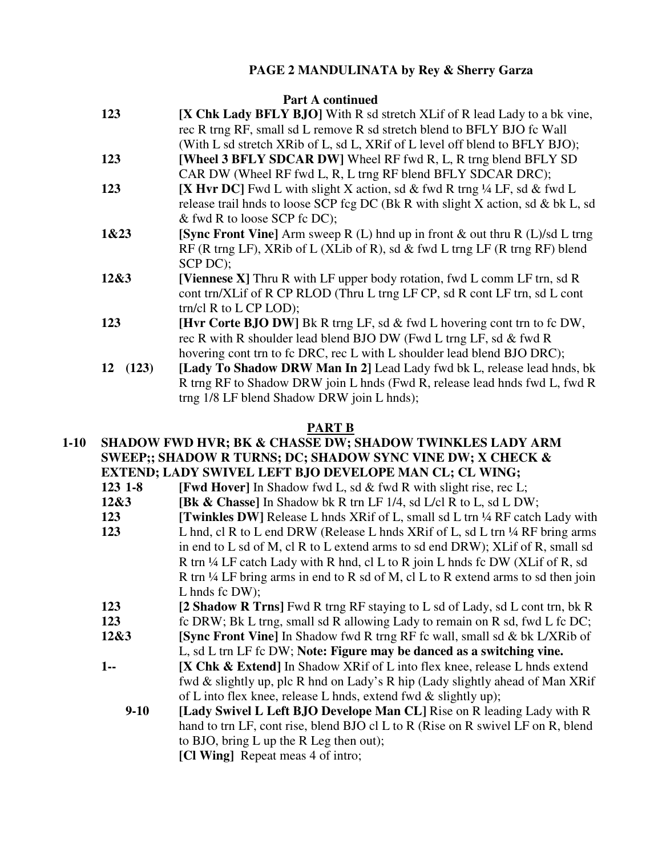# **PAGE 2 MANDULINATA by Rey & Sherry Garza**

### Part A continued

| 123     | <b>[X Chk Lady BFLY BJO]</b> With R sd stretch XLif of R lead Lady to a bk vine,    |
|---------|-------------------------------------------------------------------------------------|
|         | rec R trng RF, small sd L remove R sd stretch blend to BFLY BJO fc Wall             |
|         | (With L sd stretch XRib of L, sd L, XRif of L level off blend to BFLY BJO);         |
| 123     | [Wheel 3 BFLY SDCAR DW] Wheel RF fwd R, L, R trng blend BFLY SD                     |
|         | CAR DW (Wheel RF fwd L, R, L trng RF blend BFLY SDCAR DRC);                         |
| 123     | [X Hvr DC] Fwd L with slight X action, sd & fwd R trng $\frac{1}{4}$ LF, sd & fwd L |
|         | release trail hnds to loose SCP fcg DC (Bk R with slight X action, sd & bk L, sd    |
|         | & fwd R to loose SCP fc DC);                                                        |
| 1&23    | [Sync Front Vine] Arm sweep R $(L)$ hnd up in front & out thru R $(L)/sd$ L trng    |
|         | RF (R trng LF), XRib of L (XLib of R), sd $\&$ fwd L trng LF (R trng RF) blend      |
|         | SCP DC);                                                                            |
| 12&3    | [Viennese X] Thru R with LF upper body rotation, fwd L comm LF trn, sd R            |
|         | cont trn/XLif of R CP RLOD (Thru L trng LF CP, sd R cont LF trn, sd L cont          |
|         | $trn/cl R$ to $L$ CP $LOD$ ;                                                        |
| 123     | <b>[Hvr Corte BJO DW]</b> Bk R trng LF, sd & fwd L hovering cont trn to fc DW,      |
|         | rec R with R shoulder lead blend BJO DW (Fwd L trng LF, sd & fwd R                  |
|         | hovering cont trn to fc DRC, rec L with L shoulder lead blend BJO DRC);             |
| 12(123) | [Lady To Shadow DRW Man In 2] Lead Lady fwd bk L, release lead hnds, bk             |
|         | R trng RF to Shadow DRW join L hnds (Fwd R, release lead hnds fwd L, fwd R          |
|         | trng 1/8 LF blend Shadow DRW join L hnds);                                          |
|         |                                                                                     |

## **PART B**

### **1-10 SHADOW FWD HVR; BK & CHASSE DW; SHADOW TWINKLES LADY ARM SWEEP;; SHADOW R TURNS; DC; SHADOW SYNC VINE DW; X CHECK & EXTEND; LADY SWIVEL LEFT BJO DEVELOPE MAN CL; CL WING;**

- **123 1-8 [Fwd Hover]** In Shadow fwd L, sd & fwd R with slight rise, rec L;
- **12&3** [Bk & Chasse] In Shadow bk R trn LF 1/4, sd L/cl R to L, sd L DW;
- **123 IDE:** [Twinkles DW] Release L hnds XRif of L, small sd L trn 1/4 RF catch Lady with  **123** L hnd, cl R to L end DRW (Release L hnds XRif of L, sd L trn ¼ RF bring arms in end to L sd of M, cl R to L extend arms to sd end DRW); XLif of R, small sd R trn  $\frac{1}{4}$  LF catch Lady with R hnd, cl L to R join L hnds fc DW (XLif of R, sd R trn  $\frac{1}{4}$  LF bring arms in end to R sd of M, cl L to R extend arms to sd then join L hnds fc DW);
- **123 [2 Shadow R Trns]** Fwd R trng RF staying to L sd of Lady, sd L cont trn, bk R
- **123** fc DRW; Bk L trng, small sd R allowing Lady to remain on R sd, fwd L fc DC;
- **12&3 [Sync Front Vine]** In Shadow fwd R trng RF fc wall, small sd & bk L/XRib of
	- L, sd L trn LF fc DW; **Note: Figure may be danced as a switching vine.**
- **1-- [X Chk & Extend]** In Shadow XRif of L into flex knee, release L hnds extend fwd & slightly up, plc R hnd on Lady's R hip (Lady slightly ahead of Man XRif of L into flex knee, release L hnds, extend fwd  $&$  slightly up);
	- **9-10 [Lady Swivel L Left BJO Develope Man CL]** Rise on R leading Lady with R hand to trn LF, cont rise, blend BJO cl L to R (Rise on R swivel LF on R, blend to BJO, bring L up the R Leg then out);

**[Cl Wing]** Repeat meas 4 of intro;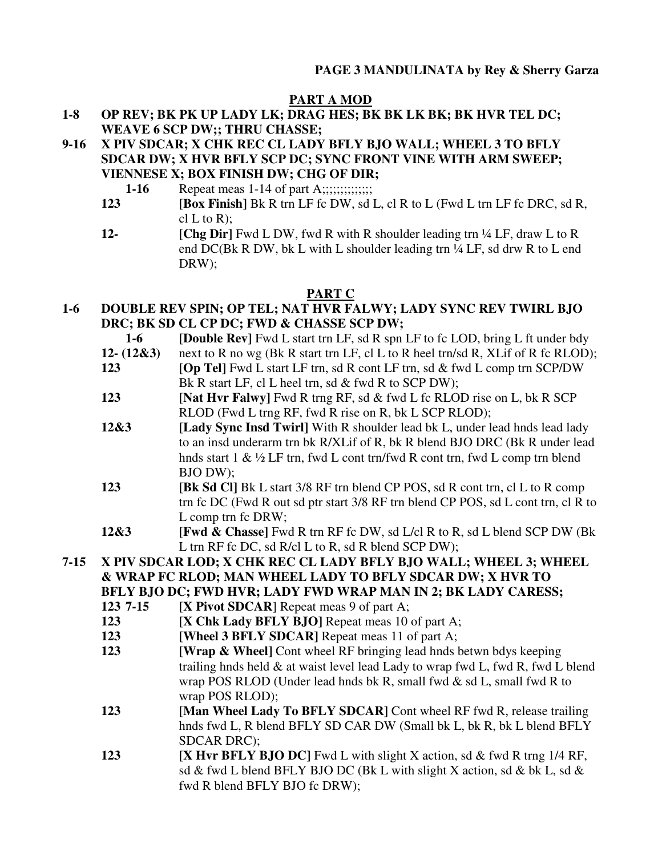## **PART A MOD**

- **1-8 OP REV; BK PK UP LADY LK; DRAG HES; BK BK LK BK; BK HVR TEL DC; WEAVE 6 SCP DW;; THRU CHASSE;**
- **9-16 X PIV SDCAR; X CHK REC CL LADY BFLY BJO WALL; WHEEL 3 TO BFLY SDCAR DW; X HVR BFLY SCP DC; SYNC FRONT VINE WITH ARM SWEEP; VIENNESE X; BOX FINISH DW; CHG OF DIR;** 
	- **1-16** Repeat meas 1-14 of part A;;;;;;;;;;;;;;;;
	- **123 [Box Finish]** Bk R trn LF fc DW, sd L, cl R to L (Fwd L trn LF fc DRC, sd R,  $cl L$  to R):
	- **12- [Chg Dir]** Fwd L DW, fwd R with R shoulder leading trn ¼ LF, draw L to R end DC(Bk R DW, bk L with L shoulder leading trn ¼ LF, sd drw R to L end DRW);

# **PART C**

**1-6 DOUBLE REV SPIN; OP TEL; NAT HVR FALWY; LADY SYNC REV TWIRL BJO DRC; BK SD CL CP DC; FWD & CHASSE SCP DW;** 

 **1-6 [Double Rev]** Fwd L start trn LF, sd R spn LF to fc LOD, bring L ft under bdy

- **12- (12&3)** next to R no wg (Bk R start trn LF, cl L to R heel trn/sd R, XLif of R fc RLOD); **123** *IOp Tell Fwd L start LF trn, sd R cont LF trn, sd & fwd L comp trn SCP/DW*
- Bk R start LF, cl L heel trn, sd & fwd R to SCP DW);
- **123 [Nat Hvr Falwy]** Fwd R trng RF, sd & fwd L fc RLOD rise on L, bk R SCP RLOD (Fwd L trng RF, fwd R rise on R, bk L SCP RLOD);
- **12&3 [Lady Sync Insd Twirl]** With R shoulder lead bk L, under lead hnds lead lady to an insd underarm trn bk R/XLif of R, bk R blend BJO DRC (Bk R under lead hnds start 1 & ½ LF trn, fwd L cont trn/fwd R cont trn, fwd L comp trn blend BJO DW);
- **123 [Bk Sd Cl]** Bk L start 3/8 RF trn blend CP POS, sd R cont trn, cl L to R comp trn fc DC (Fwd R out sd ptr start 3/8 RF trn blend CP POS, sd L cont trn, cl R to L comp trn fc DRW;
- **12&3 [Fwd & Chasse]** Fwd R trn RF fc DW, sd L/cl R to R, sd L blend SCP DW (Bk L trn RF fc DC, sd R/cl L to R, sd R blend SCP DW);

**7-15 X PIV SDCAR LOD; X CHK REC CL LADY BFLY BJO WALL; WHEEL 3; WHEEL & WRAP FC RLOD; MAN WHEEL LADY TO BFLY SDCAR DW; X HVR TO** 

 **BFLY BJO DC; FWD HVR; LADY FWD WRAP MAN IN 2; BK LADY CARESS;** 

- **123 7-15 IX Pivot SDCAR**] Repeat meas 9 of part A;
- **123 [X Chk Lady BFLY BJO]** Repeat meas 10 of part A;
- **123** [Wheel 3 BFLY SDCAR] Repeat meas 11 of part A;
- **123 IWrap & Wheel** Cont wheel RF bringing lead hnds betwn bdys keeping trailing hnds held & at waist level lead Lady to wrap fwd L, fwd R, fwd L blend wrap POS RLOD (Under lead hnds bk R, small fwd & sd L, small fwd R to wrap POS RLOD);
- **123** [Man Wheel Lady To BFLY SDCAR] Cont wheel RF fwd R, release trailing hnds fwd L, R blend BFLY SD CAR DW (Small bk L, bk R, bk L blend BFLY SDCAR DRC);
- **123 IX Hvr BFLY BJO DC** Fwd L with slight X action, sd & fwd R trng 1/4 RF, sd & fwd L blend BFLY BJO DC (Bk L with slight X action, sd & bk L, sd  $\&$ fwd R blend BFLY BJO fc DRW);